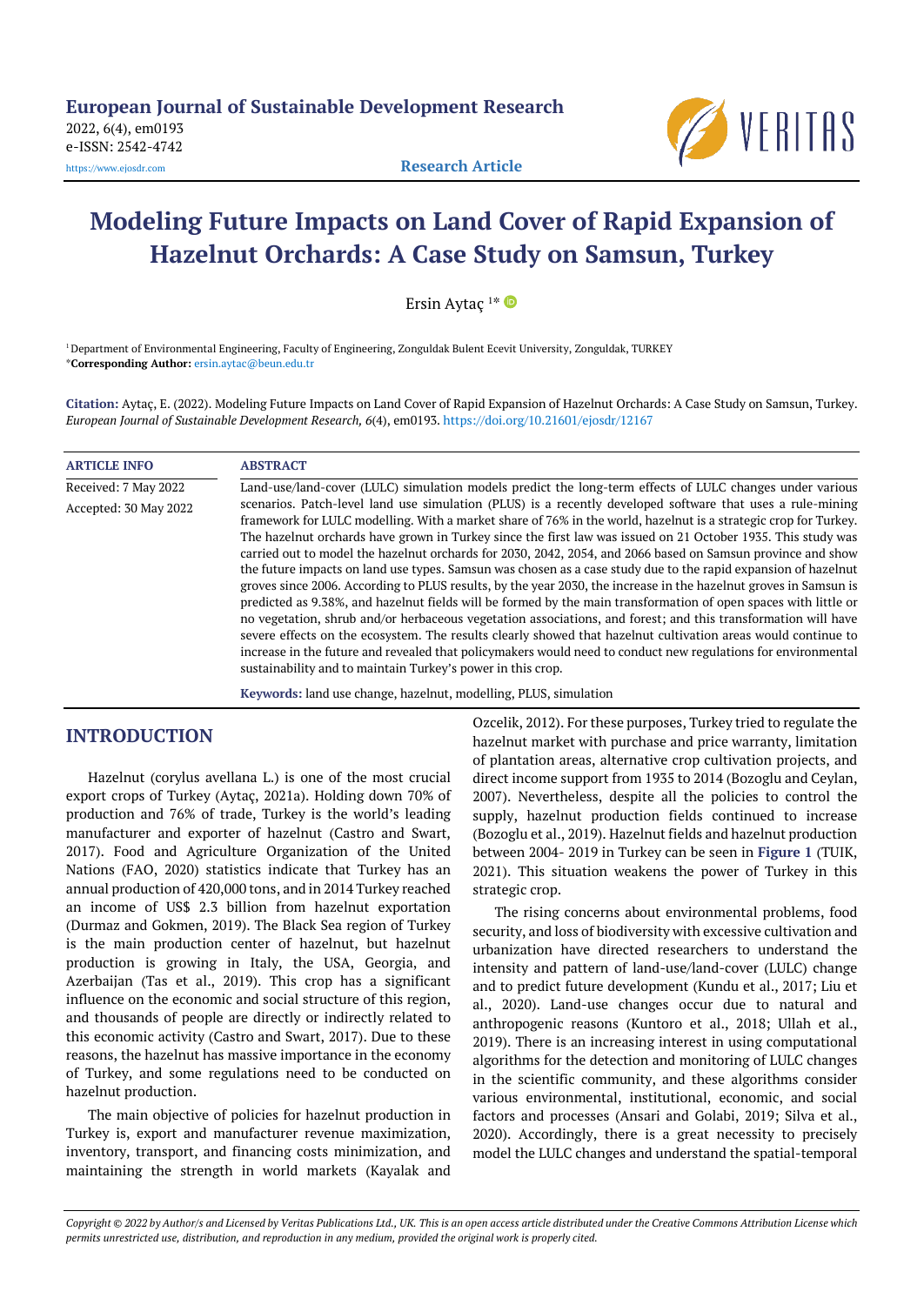

# **Modeling Future Impacts on Land Cover of Rapid Expansion of Hazelnut Orchards: A Case Study on Samsun, Turkey**

Ersin Aytaç 1 \*

<sup>1</sup> Department of Environmental Engineering, Faculty of Engineering, Zonguldak Bulent Ecevit University, Zonguldak, TURKEY \***Corresponding Author:** [ersin.aytac@beun.edu.tr](mailto:ersin.aytac@beun.edu.tr)

**Citation:** Aytaç, E. (2022). Modeling Future Impacts on Land Cover of Rapid Expansion of Hazelnut Orchards: A Case Study on Samsun, Turkey. *European Journal of Sustainable Development Research, 6*(4), em0193. <https://doi.org/10.21601/ejosdr/12167>

| <b>ARTICLE INFO</b>   | <b>ABSTRACT</b>                                                                                                                                                                                                                                                                                                                                                                                                                                                                                                                                                                                                                                                                                                                                                                                                                                                                                                                                                                                                                                                                                                                                                                                                                         |
|-----------------------|-----------------------------------------------------------------------------------------------------------------------------------------------------------------------------------------------------------------------------------------------------------------------------------------------------------------------------------------------------------------------------------------------------------------------------------------------------------------------------------------------------------------------------------------------------------------------------------------------------------------------------------------------------------------------------------------------------------------------------------------------------------------------------------------------------------------------------------------------------------------------------------------------------------------------------------------------------------------------------------------------------------------------------------------------------------------------------------------------------------------------------------------------------------------------------------------------------------------------------------------|
| Received: 7 May 2022  | Land-use/land-cover (LULC) simulation models predict the long-term effects of LULC changes under various                                                                                                                                                                                                                                                                                                                                                                                                                                                                                                                                                                                                                                                                                                                                                                                                                                                                                                                                                                                                                                                                                                                                |
| Accepted: 30 May 2022 | scenarios. Patch-level land use simulation (PLUS) is a recently developed software that uses a rule-mining<br>framework for LULC modelling. With a market share of 76% in the world, hazelnut is a strategic crop for Turkey.<br>The hazelnut orchards have grown in Turkey since the first law was issued on 21 October 1935. This study was<br>carried out to model the hazelnut orchards for 2030, 2042, 2054, and 2066 based on Samsun province and show<br>the future impacts on land use types. Samsun was chosen as a case study due to the rapid expansion of hazelnut<br>groves since 2006. According to PLUS results, by the year 2030, the increase in the hazelnut groves in Samsun is<br>predicted as 9.38%, and hazelnut fields will be formed by the main transformation of open spaces with little or<br>no vegetation, shrub and/or herbaceous vegetation associations, and forest; and this transformation will have<br>severe effects on the ecosystem. The results clearly showed that hazelnut cultivation areas would continue to<br>increase in the future and revealed that policymakers would need to conduct new regulations for environmental<br>sustainability and to maintain Turkey's power in this crop. |
|                       | Kawards: land use change hazelput modelling DLUS simulation                                                                                                                                                                                                                                                                                                                                                                                                                                                                                                                                                                                                                                                                                                                                                                                                                                                                                                                                                                                                                                                                                                                                                                             |

#### **Keywords:** land use change, hazelnut, modelling, PLUS, simulation

## **INTRODUCTION**

Hazelnut (corylus avellana L.) is one of the most crucial export crops of Turkey (Aytaç, 2021a). Holding down 70% of production and 76% of trade, Turkey is the world's leading manufacturer and exporter of hazelnut (Castro and Swart, 2017). Food and Agriculture Organization of the United Nations (FAO, 2020) statistics indicate that Turkey has an annual production of 420,000 tons, and in 2014 Turkey reached an income of US\$ 2.3 billion from hazelnut exportation (Durmaz and Gokmen, 2019). The Black Sea region of Turkey is the main production center of hazelnut, but hazelnut production is growing in Italy, the USA, Georgia, and Azerbaijan (Tas et al., 2019). This crop has a significant influence on the economic and social structure of this region, and thousands of people are directly or indirectly related to this economic activity (Castro and Swart, 2017). Due to these reasons, the hazelnut has massive importance in the economy of Turkey, and some regulations need to be conducted on hazelnut production.

The main objective of policies for hazelnut production in Turkey is, export and manufacturer revenue maximization, inventory, transport, and financing costs minimization, and maintaining the strength in world markets (Kayalak and Ozcelik, 2012). For these purposes, Turkey tried to regulate the hazelnut market with purchase and price warranty, limitation of plantation areas, alternative crop cultivation projects, and direct income support from 1935 to 2014 (Bozoglu and Ceylan, 2007). Nevertheless, despite all the policies to control the supply, hazelnut production fields continued to increase (Bozoglu et al., 2019). Hazelnut fields and hazelnut production between 2004- 2019 in Turkey can be seen in **Figure 1** (TUIK, 2021). This situation weakens the power of Turkey in this strategic crop.

The rising concerns about environmental problems, food security, and loss of biodiversity with excessive cultivation and urbanization have directed researchers to understand the intensity and pattern of land-use/land-cover (LULC) change and to predict future development (Kundu et al., 2017; Liu et al., 2020). Land-use changes occur due to natural and anthropogenic reasons (Kuntoro et al., 2018; Ullah et al., 2019). There is an increasing interest in using computational algorithms for the detection and monitoring of LULC changes in the scientific community, and these algorithms consider various environmental, institutional, economic, and social factors and processes (Ansari and Golabi, 2019; Silva et al., 2020). Accordingly, there is a great necessity to precisely model the LULC changes and understand the spatial-temporal

Copyright @ 2022 by Author/s and Licensed by Veritas Publications Ltd., UK. This is an open access article distributed under the Creative Commons Attribution License which permits unrestricted use, distribution, and reproduction in any medium, provided the original work is properly cited.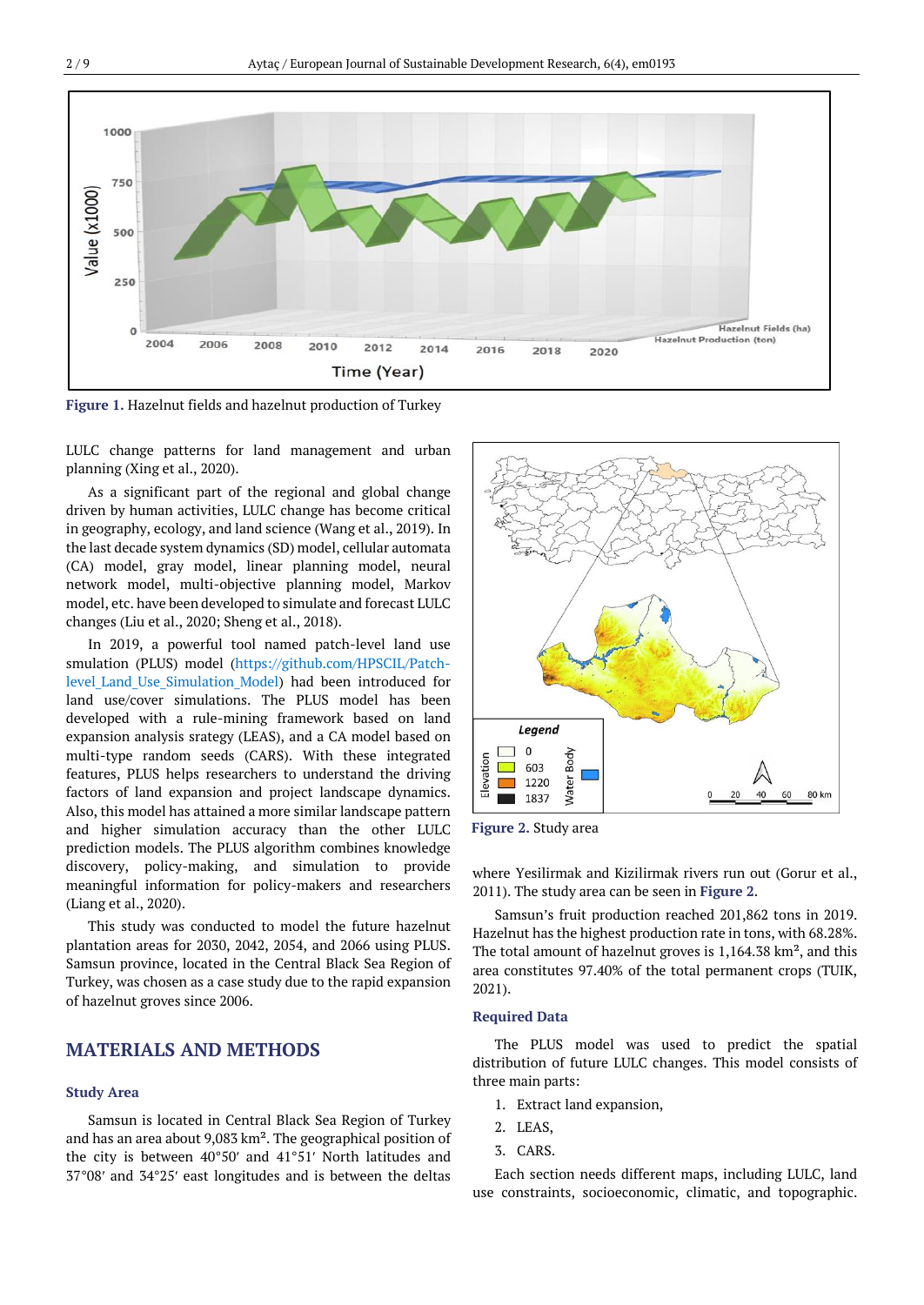

**Figure 1.** Hazelnut fields and hazelnut production of Turkey

LULC change patterns for land management and urban planning (Xing et al., 2020).

As a significant part of the regional and global change driven by human activities, LULC change has become critical in geography, ecology, and land science (Wang et al., 2019). In the last decade system dynamics (SD) model, cellular automata (CA) model, gray model, linear planning model, neural network model, multi-objective planning model, Markov model, etc. have been developed to simulate and forecast LULC changes (Liu et al., 2020; Sheng et al., 2018).

In 2019, a powerful tool named patch-level land use smulation (PLUS) model [\(https://github.com/HPSCIL/Patch](https://github.com/HPSCIL/Patch-level_Land_Use_Simulation_Model)level Land Use Simulation Model) had been introduced for land use/cover simulations. The PLUS model has been developed with a rule-mining framework based on land expansion analysis srategy (LEAS), and a CA model based on multi-type random seeds (CARS). With these integrated features, PLUS helps researchers to understand the driving factors of land expansion and project landscape dynamics. Also, this model has attained a more similar landscape pattern and higher simulation accuracy than the other LULC prediction models. The PLUS algorithm combines knowledge discovery, policy-making, and simulation to provide meaningful information for policy-makers and researchers (Liang et al., 2020).

This study was conducted to model the future hazelnut plantation areas for 2030, 2042, 2054, and 2066 using PLUS. Samsun province, located in the Central Black Sea Region of Turkey, was chosen as a case study due to the rapid expansion of hazelnut groves since 2006.

## **MATERIALS AND METHODS**

#### **Study Area**

Samsun is located in Central Black Sea Region of Turkey and has an area about 9,083 km². The geographical position of the city is between 40°50′ and 41°51′ North latitudes and 37°08′ and 34°25′ east longitudes and is between the deltas



**Figure 2.** Study area

where Yesilirmak and Kizilirmak rivers run out (Gorur et al., 2011). The study area can be seen in **Figure 2**.

Samsun's fruit production reached 201,862 tons in 2019. Hazelnut has the highest production rate in tons, with 68.28%. The total amount of hazelnut groves is 1,164.38 km², and this area constitutes 97.40% of the total permanent crops (TUIK, 2021).

#### **Required Data**

The PLUS model was used to predict the spatial distribution of future LULC changes. This model consists of three main parts:

- 1. Extract land expansion,
- 2. LEAS,
- 3. CARS.

Each section needs different maps, including LULC, land use constraints, socioeconomic, climatic, and topographic.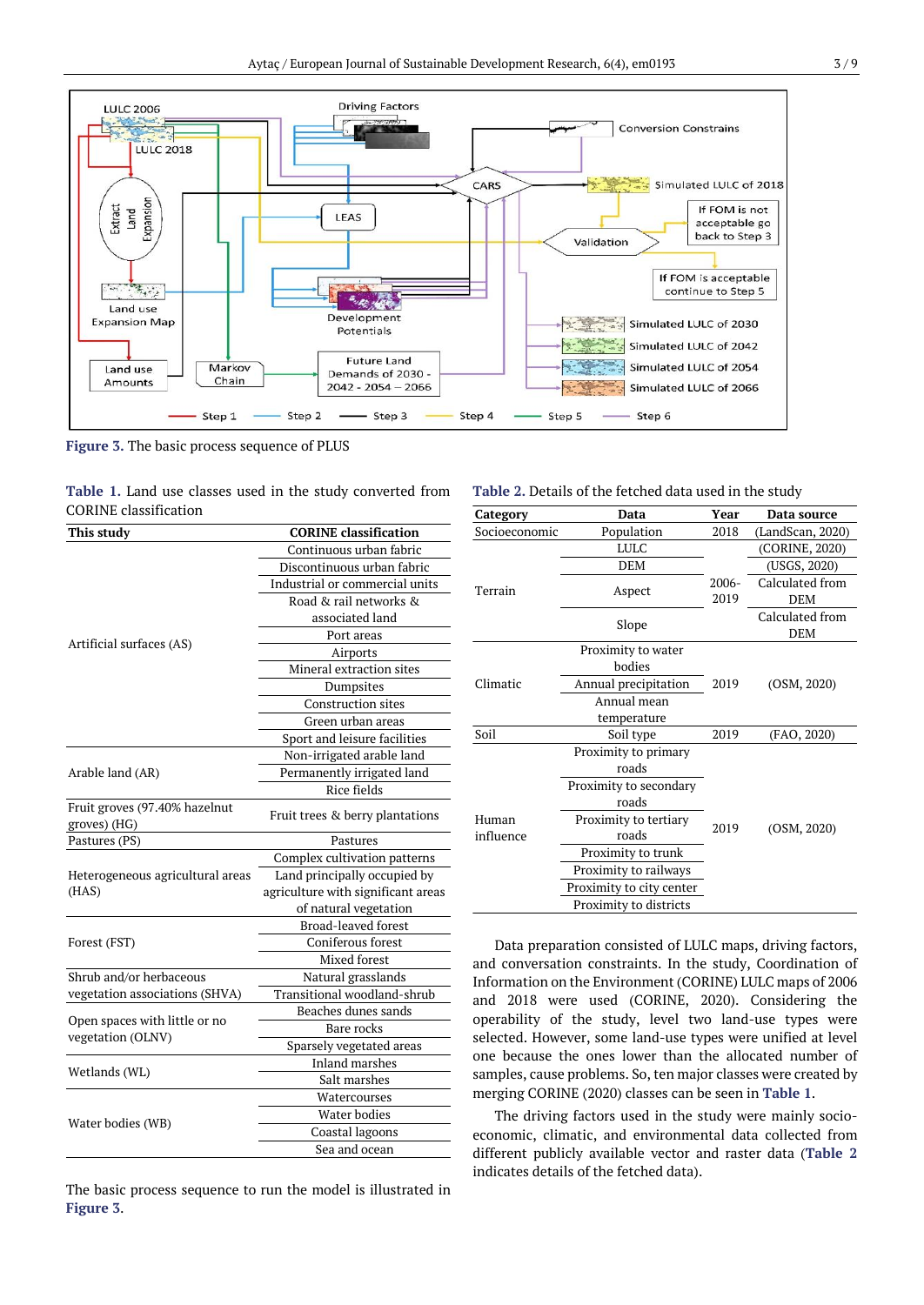

**Figure 3.** The basic process sequence of PLUS

|                              |  |  |  |  | <b>Table 1.</b> Land use classes used in the study converted from |  |
|------------------------------|--|--|--|--|-------------------------------------------------------------------|--|
| <b>CORINE</b> classification |  |  |  |  |                                                                   |  |

| This study                                         | <b>CORINE</b> classification       |  |  |  |  |  |
|----------------------------------------------------|------------------------------------|--|--|--|--|--|
|                                                    | Continuous urban fabric            |  |  |  |  |  |
|                                                    | Discontinuous urban fabric         |  |  |  |  |  |
|                                                    | Industrial or commercial units     |  |  |  |  |  |
|                                                    | Road & rail networks &             |  |  |  |  |  |
|                                                    | associated land                    |  |  |  |  |  |
|                                                    | Port areas                         |  |  |  |  |  |
| Artificial surfaces (AS)                           | Airports                           |  |  |  |  |  |
|                                                    | Mineral extraction sites           |  |  |  |  |  |
|                                                    | Dumpsites                          |  |  |  |  |  |
|                                                    | <b>Construction sites</b>          |  |  |  |  |  |
|                                                    | Green urban areas                  |  |  |  |  |  |
|                                                    | Sport and leisure facilities       |  |  |  |  |  |
|                                                    | Non-irrigated arable land          |  |  |  |  |  |
| Arable land (AR)                                   | Permanently irrigated land         |  |  |  |  |  |
|                                                    | $\overline{R}$ ice fields          |  |  |  |  |  |
| Fruit groves (97.40% hazelnut<br>groves) (HG)      | Fruit trees & berry plantations    |  |  |  |  |  |
| Pastures (PS)                                      | Pastures                           |  |  |  |  |  |
|                                                    | Complex cultivation patterns       |  |  |  |  |  |
| Heterogeneous agricultural areas                   | Land principally occupied by       |  |  |  |  |  |
| (HAS)                                              | agriculture with significant areas |  |  |  |  |  |
|                                                    | of natural vegetation              |  |  |  |  |  |
|                                                    | <b>Broad-leaved forest</b>         |  |  |  |  |  |
| Forest (FST)                                       | Coniferous forest                  |  |  |  |  |  |
|                                                    | Mixed forest                       |  |  |  |  |  |
| Shrub and/or herbaceous                            | Natural grasslands                 |  |  |  |  |  |
| vegetation associations (SHVA)                     | Transitional woodland-shrub        |  |  |  |  |  |
|                                                    | Beaches dunes sands                |  |  |  |  |  |
| Open spaces with little or no<br>vegetation (OLNV) | Bare rocks                         |  |  |  |  |  |
|                                                    | Sparsely vegetated areas           |  |  |  |  |  |
| Wetlands (WL)                                      | <b>Inland marshes</b>              |  |  |  |  |  |
|                                                    | Salt marshes                       |  |  |  |  |  |
|                                                    | Watercourses                       |  |  |  |  |  |
|                                                    | Water bodies                       |  |  |  |  |  |
| Water bodies (WB)                                  | Coastal lagoons                    |  |  |  |  |  |
|                                                    | Sea and ocean                      |  |  |  |  |  |
|                                                    |                                    |  |  |  |  |  |

The basic process sequence to run the model is illustrated in **Figure 3**.

#### **Table 2.** Details of the fetched data used in the study

| Category      | Data                     | Year     | Data source      |  |  |  |
|---------------|--------------------------|----------|------------------|--|--|--|
| Socioeconomic | Population               | 2018     | (LandScan, 2020) |  |  |  |
|               | <b>LULC</b>              |          | (CORINE, 2020)   |  |  |  |
|               | <b>DEM</b>               |          | (USGS, 2020)     |  |  |  |
| Terrain       |                          | $2006 -$ | Calculated from  |  |  |  |
|               | Aspect                   | 2019     | <b>DEM</b>       |  |  |  |
|               | Slope                    |          | Calculated from  |  |  |  |
|               |                          |          | DEM              |  |  |  |
|               | Proximity to water       |          | (OSM, 2020)      |  |  |  |
|               | bodies                   |          |                  |  |  |  |
| Climatic      | Annual precipitation     | 2019     |                  |  |  |  |
|               | Annual mean              |          |                  |  |  |  |
|               | temperature              |          |                  |  |  |  |
| Soil          | Soil type                | 2019     | (FAO, 2020)      |  |  |  |
|               | Proximity to primary     |          |                  |  |  |  |
|               | roads                    |          |                  |  |  |  |
|               | Proximity to secondary   |          |                  |  |  |  |
|               | roads                    |          |                  |  |  |  |
| Human         | Proximity to tertiary    | 2019     | (OSM, 2020)      |  |  |  |
| influence     | roads                    |          |                  |  |  |  |
|               | Proximity to trunk       |          |                  |  |  |  |
|               | Proximity to railways    |          |                  |  |  |  |
|               | Proximity to city center |          |                  |  |  |  |
|               | Proximity to districts   |          |                  |  |  |  |

Data preparation consisted of LULC maps, driving factors, and conversation constraints. In the study, Coordination of Information on the Environment (CORINE) LULC maps of 2006 and 2018 were used (CORINE, 2020). Considering the operability of the study, level two land-use types were selected. However, some land-use types were unified at level one because the ones lower than the allocated number of samples, cause problems. So, ten major classes were created by merging CORINE (2020) classes can be seen in **Table 1**.

The driving factors used in the study were mainly socioeconomic, climatic, and environmental data collected from different publicly available vector and raster data (**Table 2** indicates details of the fetched data).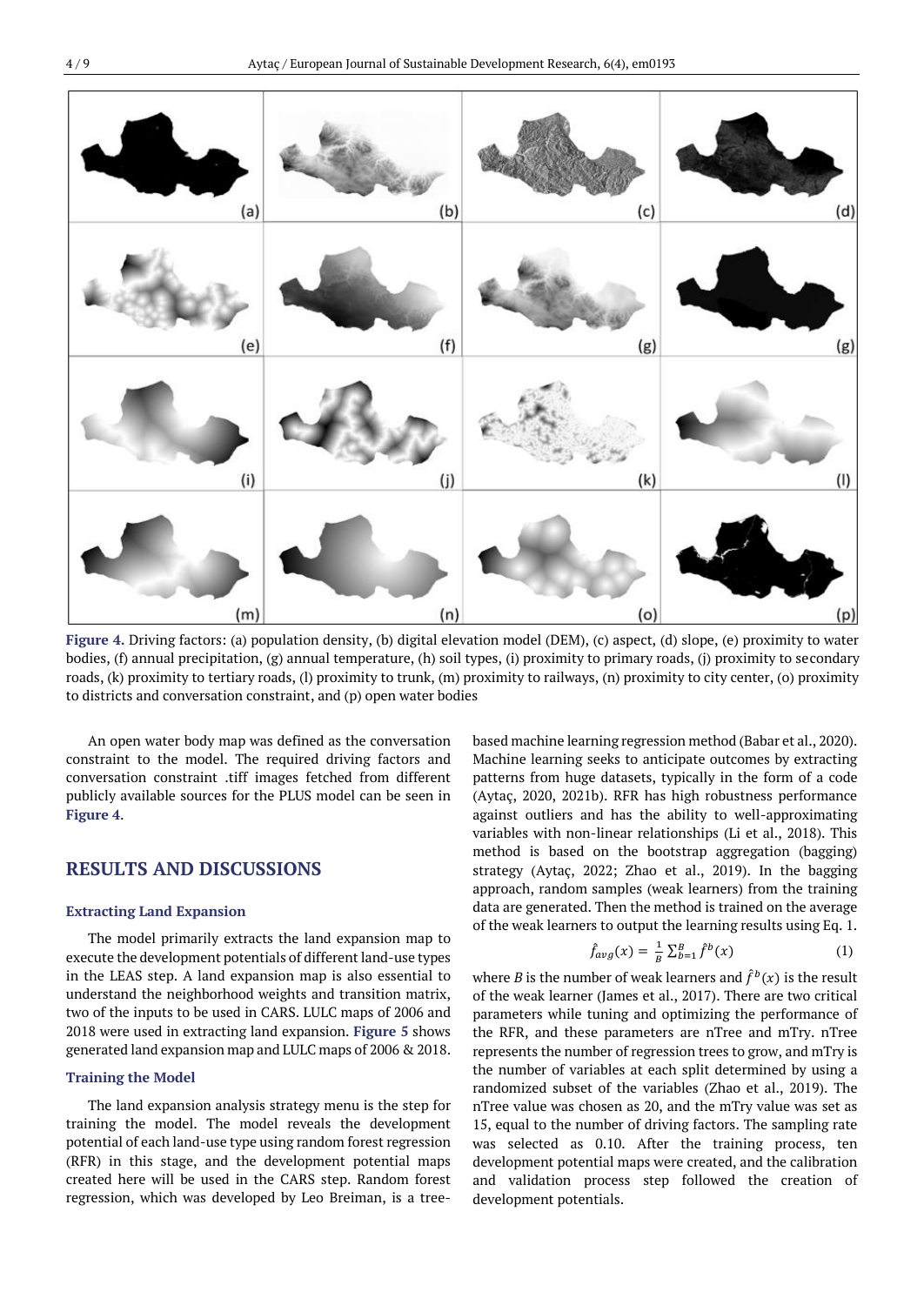

**Figure 4.** Driving factors: (a) population density, (b) digital elevation model (DEM), (c) aspect, (d) slope, (e) proximity to water bodies, (f) annual precipitation, (g) annual temperature, (h) soil types, (i) proximity to primary roads, (j) proximity to secondary roads, (k) proximity to tertiary roads, (l) proximity to trunk, (m) proximity to railways, (n) proximity to city center, (o) proximity to districts and conversation constraint, and (p) open water bodies

An open water body map was defined as the conversation constraint to the model. The required driving factors and conversation constraint .tiff images fetched from different publicly available sources for the PLUS model can be seen in **Figure 4**.

## **RESULTS AND DISCUSSIONS**

#### **Extracting Land Expansion**

The model primarily extracts the land expansion map to execute the development potentials of different land-use types in the LEAS step. A land expansion map is also essential to understand the neighborhood weights and transition matrix, two of the inputs to be used in CARS. LULC maps of 2006 and 2018 were used in extracting land expansion. **Figure 5** shows generated land expansion map and LULC maps of 2006 & 2018.

#### **Training the Model**

The land expansion analysis strategy menu is the step for training the model. The model reveals the development potential of each land-use type using random forest regression (RFR) in this stage, and the development potential maps created here will be used in the CARS step. Random forest regression, which was developed by Leo Breiman, is a treebased machine learning regression method (Babar et al., 2020). Machine learning seeks to anticipate outcomes by extracting patterns from huge datasets, typically in the form of a code (Aytaç, 2020, 2021b). RFR has high robustness performance against outliers and has the ability to well-approximating variables with non-linear relationships (Li et al., 2018). This method is based on the bootstrap aggregation (bagging) strategy (Aytaç, 2022; Zhao et al., 2019). In the bagging approach, random samples (weak learners) from the training data are generated. Then the method is trained on the average of the weak learners to output the learning results using Eq. 1.

$$
\hat{f}_{avg}(x) = \frac{1}{B} \sum_{b=1}^{B} \hat{f}^{b}(x)
$$
 (1)

where *B* is the number of weak learners and  $\hat{f}^b(x)$  is the result of the weak learner (James et al., 2017). There are two critical parameters while tuning and optimizing the performance of the RFR, and these parameters are nTree and mTry. nTree represents the number of regression trees to grow, and mTry is the number of variables at each split determined by using a randomized subset of the variables (Zhao et al., 2019). The nTree value was chosen as 20, and the mTry value was set as 15, equal to the number of driving factors. The sampling rate was selected as 0.10. After the training process, ten development potential maps were created, and the calibration and validation process step followed the creation of development potentials.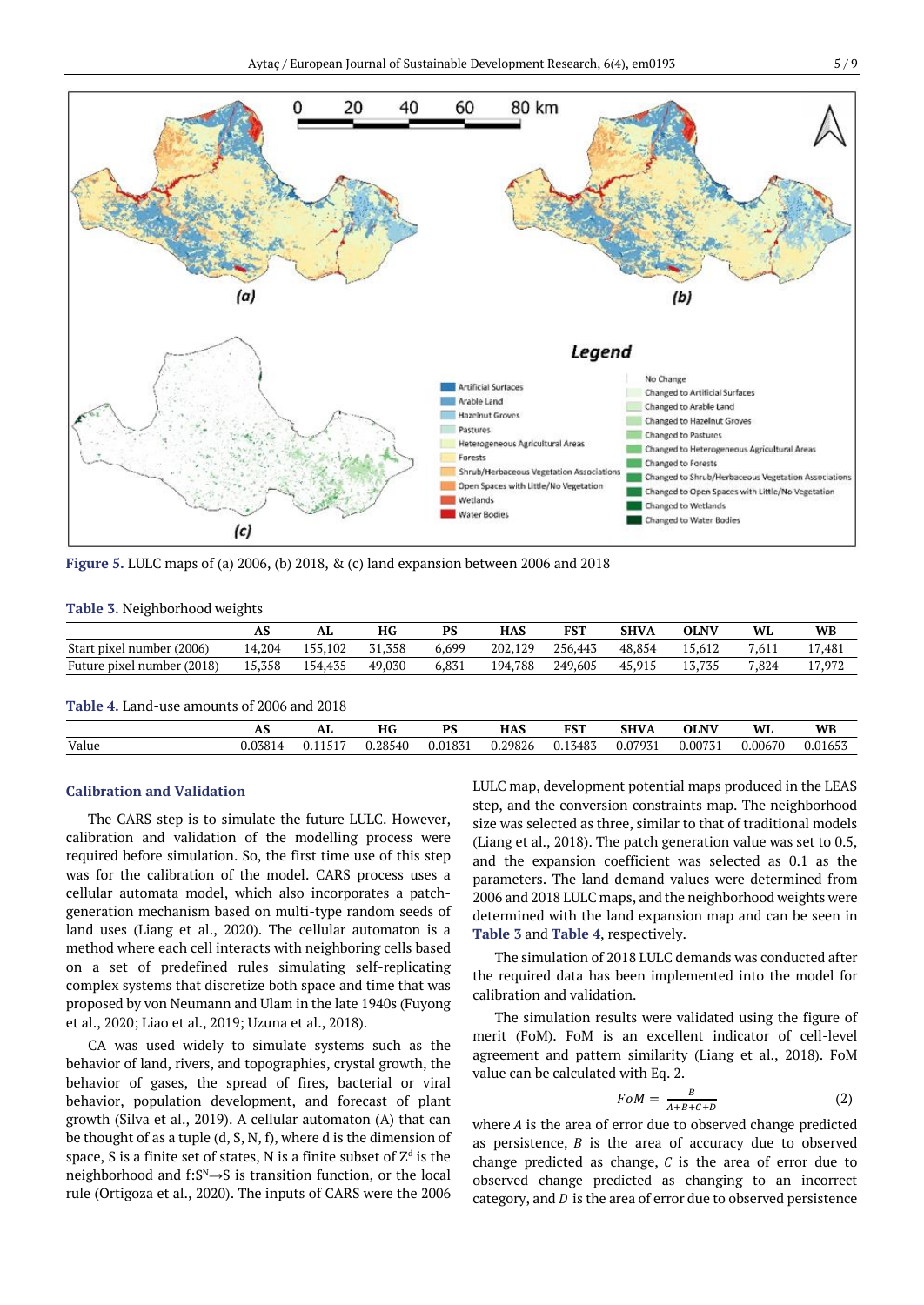

**Figure 5.** LULC maps of (a) 2006, (b) 2018, & (c) land expansion between 2006 and 2018

#### **Table 3.** Neighborhood weights

|                                            | AS     | AL      | HG     | PS    | <b>HAS</b> | <b>FST</b> | <b>SHVA</b> | <b>OLNV</b> | WL    | <b>WB</b> |
|--------------------------------------------|--------|---------|--------|-------|------------|------------|-------------|-------------|-------|-----------|
| Start pixel number (2006)                  | 14.204 | 155.102 | 31,358 | 6.699 | 202.129    | 256,443    | 48.854      | 15.612      | 7.611 | 17,481    |
| Future pixel number (2018)                 | 15,358 | 154.435 | 49,030 | 6.831 | 194.788    | 249.605    | 45,915      | 13.735      | 7.824 | 17,972    |
|                                            |        |         |        |       |            |            |             |             |       |           |
| Table 4. Land-use amounts of 2006 and 2018 |        |         |        |       |            |            |             |             |       |           |

Value 0.03814 0.11517 0.28540 0.01831 0.29826 0.13483 0.07931 0.00731 0.00670 0.01653

## **AS AL HG PS HAS FST SHVA OLNV WL WB**

#### **Calibration and Validation**

The CARS step is to simulate the future LULC. However, calibration and validation of the modelling process were required before simulation. So, the first time use of this step was for the calibration of the model. CARS process uses a cellular automata model, which also incorporates a patchgeneration mechanism based on multi-type random seeds of land uses (Liang et al., 2020). The cellular automaton is a method where each cell interacts with neighboring cells based on a set of predefined rules simulating self-replicating complex systems that discretize both space and time that was proposed by von Neumann and Ulam in the late 1940s (Fuyong et al., 2020; Liao et al., 2019; Uzuna et al., 2018).

CA was used widely to simulate systems such as the behavior of land, rivers, and topographies, crystal growth, the behavior of gases, the spread of fires, bacterial or viral behavior, population development, and forecast of plant growth (Silva et al., 2019). A cellular automaton (A) that can be thought of as a tuple (d, S, N, f), where d is the dimension of space, S is a finite set of states, N is a finite subset of  $\mathrm{Z}^{\mathrm{d}}$  is the neighborhood and f: $S^N \rightarrow S$  is transition function, or the local rule (Ortigoza et al., 2020). The inputs of CARS were the 2006 LULC map, development potential maps produced in the LEAS step, and the conversion constraints map. The neighborhood size was selected as three, similar to that of traditional models (Liang et al., 2018). The patch generation value was set to 0.5, and the expansion coefficient was selected as 0.1 as the parameters. The land demand values were determined from 2006 and 2018 LULC maps, and the neighborhood weights were determined with the land expansion map and can be seen in **Table 3** and **Table 4**, respectively.

The simulation of 2018 LULC demands was conducted after the required data has been implemented into the model for calibration and validation.

The simulation results were validated using the figure of merit (FoM). FoM is an excellent indicator of cell-level agreement and pattern similarity (Liang et al., 2018). FoM value can be calculated with Eq. 2.

$$
FoM = \frac{B}{A+B+C+D} \tag{2}
$$

where  $A$  is the area of error due to observed change predicted as persistence,  $B$  is the area of accuracy due to observed change predicted as change,  $C$  is the area of error due to observed change predicted as changing to an incorrect category, and  $D$  is the area of error due to observed persistence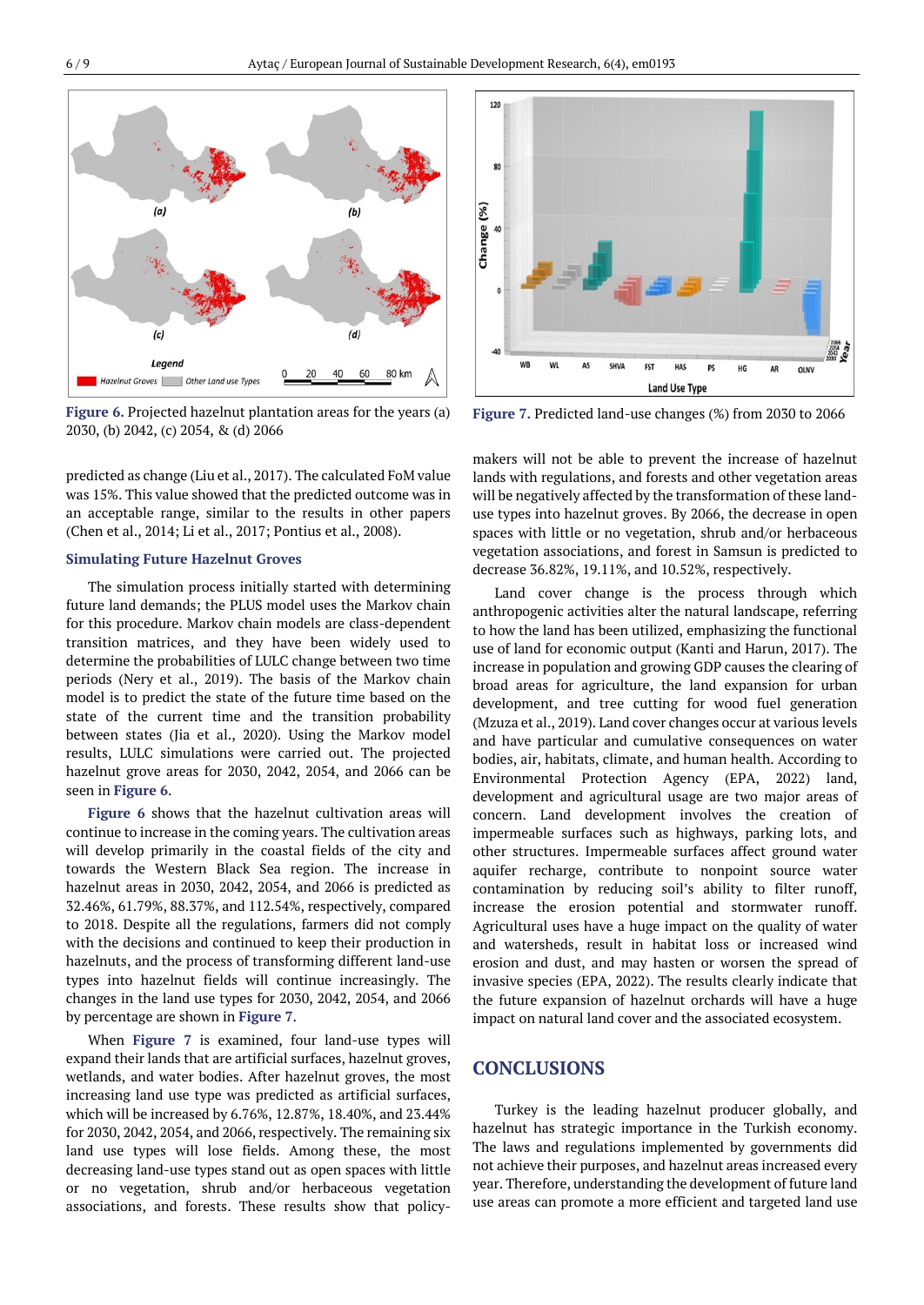

**Figure 6.** Projected hazelnut plantation areas for the years (a) 2030, (b) 2042, (c) 2054, & (d) 2066

predicted as change (Liu et al., 2017). The calculated FoM value was 15%. This value showed that the predicted outcome was in an acceptable range, similar to the results in other papers (Chen et al., 2014; Li et al., 2017; Pontius et al., 2008).

#### **Simulating Future Hazelnut Groves**

The simulation process initially started with determining future land demands; the PLUS model uses the Markov chain for this procedure. Markov chain models are class-dependent transition matrices, and they have been widely used to determine the probabilities of LULC change between two time periods (Nery et al., 2019). The basis of the Markov chain model is to predict the state of the future time based on the state of the current time and the transition probability between states (Jia et al., 2020). Using the Markov model results, LULC simulations were carried out. The projected hazelnut grove areas for 2030, 2042, 2054, and 2066 can be seen in **Figure 6**.

**Figure 6** shows that the hazelnut cultivation areas will continue to increase in the coming years. The cultivation areas will develop primarily in the coastal fields of the city and towards the Western Black Sea region. The increase in hazelnut areas in 2030, 2042, 2054, and 2066 is predicted as 32.46%, 61.79%, 88.37%, and 112.54%, respectively, compared to 2018. Despite all the regulations, farmers did not comply with the decisions and continued to keep their production in hazelnuts, and the process of transforming different land-use types into hazelnut fields will continue increasingly. The changes in the land use types for 2030, 2042, 2054, and 2066 by percentage are shown in **Figure 7**.

When **Figure 7** is examined, four land-use types will expand their lands that are artificial surfaces, hazelnut groves, wetlands, and water bodies. After hazelnut groves, the most increasing land use type was predicted as artificial surfaces, which will be increased by 6.76%, 12.87%, 18.40%, and 23.44% for 2030, 2042, 2054, and 2066, respectively. The remaining six land use types will lose fields. Among these, the most decreasing land-use types stand out as open spaces with little or no vegetation, shrub and/or herbaceous vegetation associations, and forests. These results show that policy-



**Figure 7.** Predicted land-use changes (%) from 2030 to 2066

makers will not be able to prevent the increase of hazelnut lands with regulations, and forests and other vegetation areas will be negatively affected by the transformation of these landuse types into hazelnut groves. By 2066, the decrease in open spaces with little or no vegetation, shrub and/or herbaceous vegetation associations, and forest in Samsun is predicted to decrease 36.82%, 19.11%, and 10.52%, respectively.

Land cover change is the process through which anthropogenic activities alter the natural landscape, referring to how the land has been utilized, emphasizing the functional use of land for economic output (Kanti and Harun, 2017). The increase in population and growing GDP causes the clearing of broad areas for agriculture, the land expansion for urban development, and tree cutting for wood fuel generation (Mzuza et al., 2019). Land cover changes occur at various levels and have particular and cumulative consequences on water bodies, air, habitats, climate, and human health. According to Environmental Protection Agency (EPA, 2022) land, development and agricultural usage are two major areas of concern. Land development involves the creation of impermeable surfaces such as highways, parking lots, and other structures. Impermeable surfaces affect ground water aquifer recharge, contribute to nonpoint source water contamination by reducing soil's ability to filter runoff, increase the erosion potential and stormwater runoff. Agricultural uses have a huge impact on the quality of water and watersheds, result in habitat loss or increased wind erosion and dust, and may hasten or worsen the spread of invasive species (EPA, 2022). The results clearly indicate that the future expansion of hazelnut orchards will have a huge impact on natural land cover and the associated ecosystem.

#### **CONCLUSIONS**

Turkey is the leading hazelnut producer globally, and hazelnut has strategic importance in the Turkish economy. The laws and regulations implemented by governments did not achieve their purposes, and hazelnut areas increased every year. Therefore, understanding the development of future land use areas can promote a more efficient and targeted land use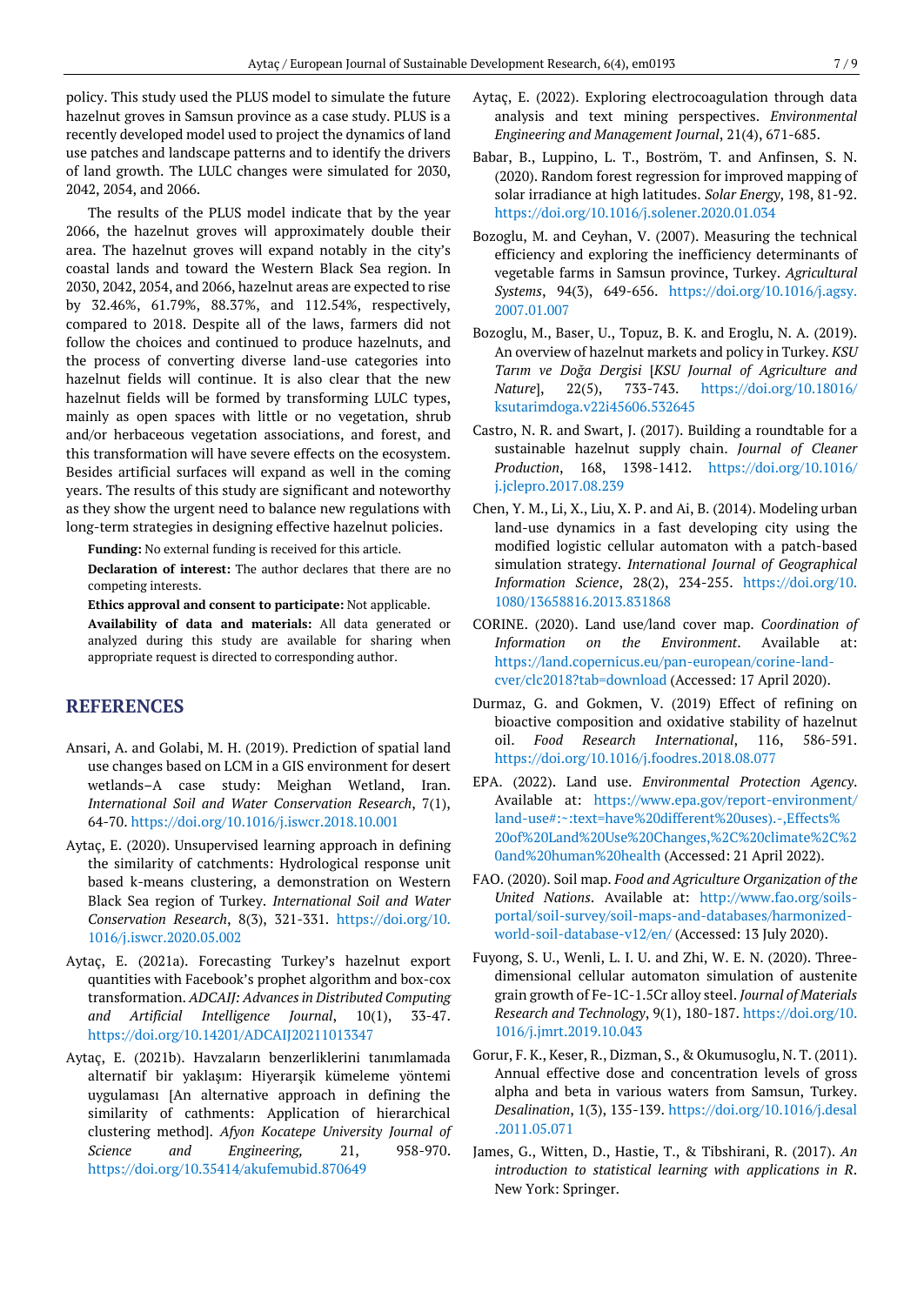policy. This study used the PLUS model to simulate the future hazelnut groves in Samsun province as a case study. PLUS is a recently developed model used to project the dynamics of land use patches and landscape patterns and to identify the drivers of land growth. The LULC changes were simulated for 2030, 2042, 2054, and 2066.

The results of the PLUS model indicate that by the year 2066, the hazelnut groves will approximately double their area. The hazelnut groves will expand notably in the city's coastal lands and toward the Western Black Sea region. In 2030, 2042, 2054, and 2066, hazelnut areas are expected to rise by 32.46%, 61.79%, 88.37%, and 112.54%, respectively, compared to 2018. Despite all of the laws, farmers did not follow the choices and continued to produce hazelnuts, and the process of converting diverse land-use categories into hazelnut fields will continue. It is also clear that the new hazelnut fields will be formed by transforming LULC types, mainly as open spaces with little or no vegetation, shrub and/or herbaceous vegetation associations, and forest, and this transformation will have severe effects on the ecosystem. Besides artificial surfaces will expand as well in the coming years. The results of this study are significant and noteworthy as they show the urgent need to balance new regulations with long-term strategies in designing effective hazelnut policies.

**Funding:** No external funding is received for this article.

**Declaration of interest:** The author declares that there are no competing interests.

**Ethics approval and consent to participate:** Not applicable.

**Availability of data and materials:** All data generated or analyzed during this study are available for sharing when appropriate request is directed to corresponding author.

## **REFERENCES**

- Ansari, A. and Golabi, M. H. (2019). Prediction of spatial land use changes based on LCM in a GIS environment for desert wetlands–A case study: Meighan Wetland, Iran. *International Soil and Water Conservation Research*, 7(1), 64-70. <https://doi.org/10.1016/j.iswcr.2018.10.001>
- Aytaç, E. (2020). Unsupervised learning approach in defining the similarity of catchments: Hydrological response unit based k-means clustering, a demonstration on Western Black Sea region of Turkey. *International Soil and Water Conservation Research*, 8(3), 321-331. [https://doi.org/10.](https://doi.org/10.1016/j.iswcr.2020.05.002) [1016/j.iswcr.2020.05.002](https://doi.org/10.1016/j.iswcr.2020.05.002)
- Aytaç, E. (2021a). Forecasting Turkey's hazelnut export quantities with Facebook's prophet algorithm and box-cox transformation. *ADCAIJ: Advances in Distributed Computing and Artificial Intelligence Journal*, 10(1), 33-47. <https://doi.org/10.14201/ADCAIJ20211013347>
- Aytaç, E. (2021b). Havzaların benzerliklerini tanımlamada alternatif bir yaklaşım: Hiyerarşik kümeleme yöntemi uygulaması [An alternative approach in defining the similarity of cathments: Application of hierarchical clustering method]. *Afyon Kocatepe University Journal of Science and Engineering,* 21, 958-970. <https://doi.org/10.35414/akufemubid.870649>
- Aytaç, E. (2022). Exploring electrocoagulation through data analysis and text mining perspectives. *Environmental Engineering and Management Journal*, 21(4), 671-685.
- Babar, B., Luppino, L. T., Boström, T. and Anfinsen, S. N. (2020). Random forest regression for improved mapping of solar irradiance at high latitudes. *Solar Energy*, 198, 81-92. <https://doi.org/10.1016/j.solener.2020.01.034>
- Bozoglu, M. and Ceyhan, V. (2007). Measuring the technical efficiency and exploring the inefficiency determinants of vegetable farms in Samsun province, Turkey. *Agricultural Systems*, 94(3), 649-656. [https://doi.org/10.1016/j.agsy.](https://doi.org/10.1016/j.agsy.2007.01.007) [2007.01.007](https://doi.org/10.1016/j.agsy.2007.01.007)
- Bozoglu, M., Baser, U., Topuz, B. K. and Eroglu, N. A. (2019). An overview of hazelnut markets and policy in Turkey. *KSU Tarım ve Doğa Dergisi* [*KSU Journal of Agriculture and Nature*], 22(5), 733-743. [https://doi.org/10.18016/](https://doi.org/10.18016/ksutarimdoga.v22i45606.532645) [ksutarimdoga.v22i45606.532645](https://doi.org/10.18016/ksutarimdoga.v22i45606.532645)
- Castro, N. R. and Swart, J. (2017). Building a roundtable for a sustainable hazelnut supply chain. *Journal of Cleaner Production*, 168, 1398-1412. [https://doi.org/10.1016/](https://doi.org/10.1016/j.jclepro.2017.08.239) [j.jclepro.2017.08.239](https://doi.org/10.1016/j.jclepro.2017.08.239)
- Chen, Y. M., Li, X., Liu, X. P. and Ai, B. (2014). Modeling urban land-use dynamics in a fast developing city using the modified logistic cellular automaton with a patch-based simulation strategy. *International Journal of Geographical Information Science*, 28(2), 234-255. [https://doi.org/10.](https://doi.org/10.1080/13658816.2013.831868) [1080/13658816.2013.831868](https://doi.org/10.1080/13658816.2013.831868)
- CORINE. (2020). Land use/land cover map. *Coordination of Information on the Environment*. Available at: [https://land.copernicus.eu/pan-european/corine-land](https://land.copernicus.eu/pan-european/corine-land-cver/clc2018?tab=download)[cver/clc2018?tab=download](https://land.copernicus.eu/pan-european/corine-land-cver/clc2018?tab=download) (Accessed: 17 April 2020).
- Durmaz, G. and Gokmen, V. (2019) Effect of refining on bioactive composition and oxidative stability of hazelnut oil. *Food Research International*, 116, 586-591. <https://doi.org/10.1016/j.foodres.2018.08.077>
- EPA. (2022). Land use. *Environmental Protection Agency*. Available at: [https://www.epa.gov/report-environment/](https://www.epa.gov/report-environment/land-use#:~:text=have%20different%20uses).-,Effects%20of%20Land%20Use%20Changes,%2C%20climate%2C%20and%20human%20health) [land-use#:~:text=have%20different%20uses\).-,Effects%](https://www.epa.gov/report-environment/land-use#:~:text=have%20different%20uses).-,Effects%20of%20Land%20Use%20Changes,%2C%20climate%2C%20and%20human%20health) [20of%20Land%20Use%20Changes,%2C%20climate%2C%2](https://www.epa.gov/report-environment/land-use#:~:text=have%20different%20uses).-,Effects%20of%20Land%20Use%20Changes,%2C%20climate%2C%20and%20human%20health) [0and%20human%20health](https://www.epa.gov/report-environment/land-use#:~:text=have%20different%20uses).-,Effects%20of%20Land%20Use%20Changes,%2C%20climate%2C%20and%20human%20health) (Accessed: 21 April 2022).
- FAO. (2020). Soil map. *Food and Agriculture Organization of the United Nations*. Available at: [http://www.fao.org/soils](http://www.fao.org/soils-portal/soil-survey/soil-maps-and-databases/harmonized-world-soil-database-v12/en/)[portal/soil-survey/soil-maps-and-databases/harmonized](http://www.fao.org/soils-portal/soil-survey/soil-maps-and-databases/harmonized-world-soil-database-v12/en/)[world-soil-database-v12/en/](http://www.fao.org/soils-portal/soil-survey/soil-maps-and-databases/harmonized-world-soil-database-v12/en/) (Accessed: 13 July 2020).
- Fuyong, S. U., Wenli, L. I. U. and Zhi, W. E. N. (2020). Threedimensional cellular automaton simulation of austenite grain growth of Fe-1C-1.5Cr alloy steel. *Journal of Materials Research and Technology*, 9(1), 180-187. [https://doi.org/10.](https://doi.org/10.1016/j.jmrt.2019.10.043) [1016/j.jmrt.2019.10.043](https://doi.org/10.1016/j.jmrt.2019.10.043)
- Gorur, F. K., Keser, R., Dizman, S., & Okumusoglu, N. T. (2011). Annual effective dose and concentration levels of gross alpha and beta in various waters from Samsun, Turkey. *Desalination*, 1(3), 135-139. [https://doi.org/10.1016/j.desal](https://doi.org/10.1016/j.desal.2011.05.071) [.2011.05.071](https://doi.org/10.1016/j.desal.2011.05.071)
- James, G., Witten, D., Hastie, T., & Tibshirani, R. (2017). *An introduction to statistical learning with applications in R*. New York: Springer.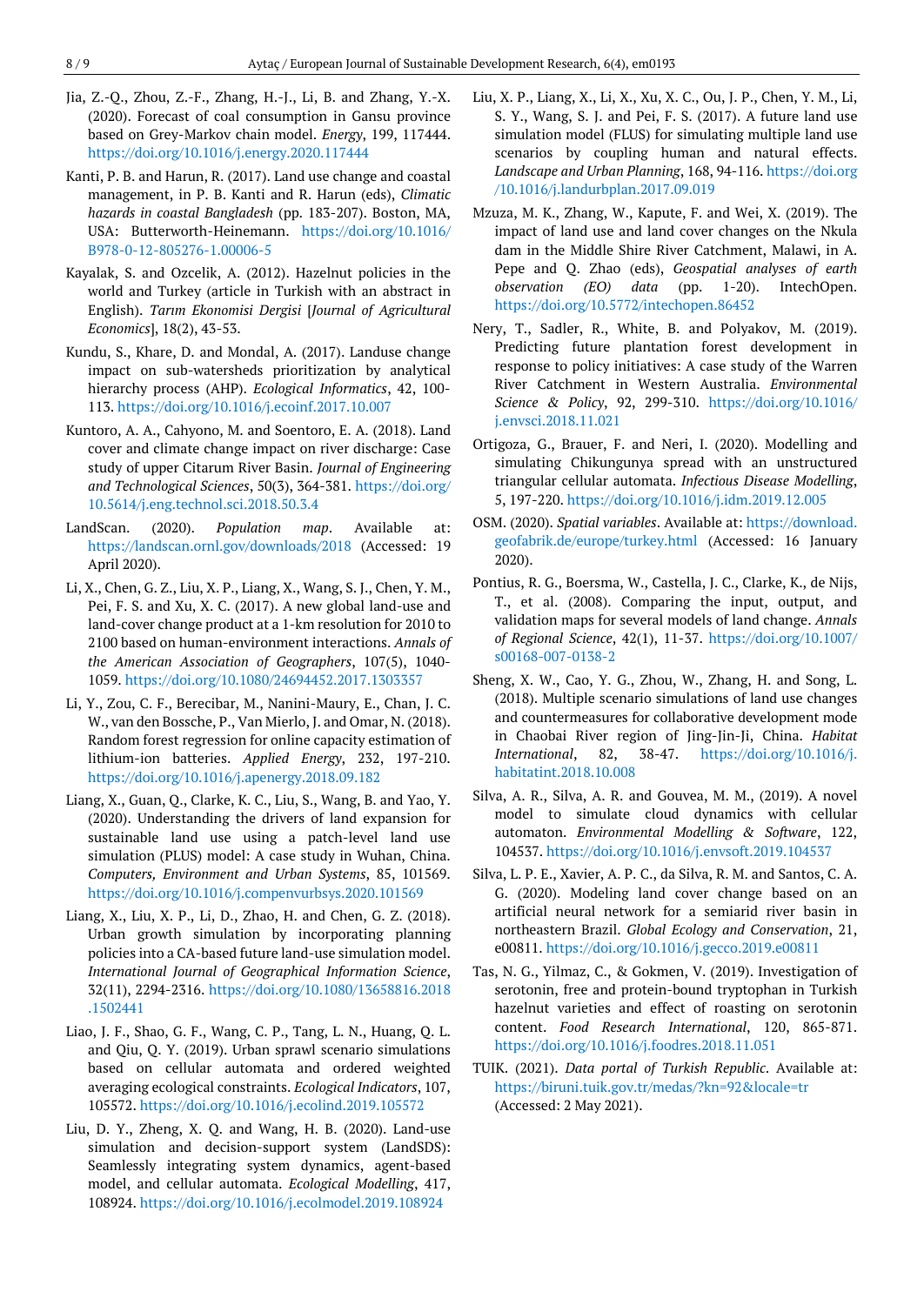- Jia, Z.-Q., Zhou, Z.-F., Zhang, H.-J., Li, B. and Zhang, Y.-X. (2020). Forecast of coal consumption in Gansu province based on Grey-Markov chain model. *Energy*, 199, 117444. <https://doi.org/10.1016/j.energy.2020.117444>
- Kanti, P. B. and Harun, R. (2017). Land use change and coastal management, in P. B. Kanti and R. Harun (eds), *Climatic hazards in coastal Bangladesh* (pp. 183-207). Boston, MA, USA: Butterworth-Heinemann. [https://doi.org/10.1016/](https://doi.org/10.1016/B978-0-12-805276-1.00006-5) [B978-0-12-805276-1.00006-5](https://doi.org/10.1016/B978-0-12-805276-1.00006-5)
- Kayalak, S. and Ozcelik, A. (2012). Hazelnut policies in the world and Turkey (article in Turkish with an abstract in English). *Tarım Ekonomisi Dergisi* [*Journal of Agricultural Economics*], 18(2), 43-53.
- Kundu, S., Khare, D. and Mondal, A. (2017). Landuse change impact on sub-watersheds prioritization by analytical hierarchy process (AHP). *Ecological Informatics*, 42, 100- 113. <https://doi.org/10.1016/j.ecoinf.2017.10.007>
- Kuntoro, A. A., Cahyono, M. and Soentoro, E. A. (2018). Land cover and climate change impact on river discharge: Case study of upper Citarum River Basin. *Journal of Engineering and Technological Sciences*, 50(3), 364-381. [https://doi.org/](https://doi.org/10.5614/j.eng.technol.sci.2018.50.3.4) [10.5614/j.eng.technol.sci.2018.50.3.4](https://doi.org/10.5614/j.eng.technol.sci.2018.50.3.4)
- LandScan. (2020). *Population map*. Available at: <https://landscan.ornl.gov/downloads/2018> (Accessed: 19 April 2020).
- Li, X., Chen, G. Z., Liu, X. P., Liang, X., Wang, S. J., Chen, Y. M., Pei, F. S. and Xu, X. C. (2017). A new global land-use and land-cover change product at a 1-km resolution for 2010 to 2100 based on human-environment interactions. *Annals of the American Association of Geographers*, 107(5), 1040- 1059. <https://doi.org/10.1080/24694452.2017.1303357>
- Li, Y., Zou, C. F., Berecibar, M., Nanini-Maury, E., Chan, J. C. W., van den Bossche, P., Van Mierlo, J. and Omar, N. (2018). Random forest regression for online capacity estimation of lithium-ion batteries. *Applied Energy*, 232, 197-210. <https://doi.org/10.1016/j.apenergy.2018.09.182>
- Liang, X., Guan, Q., Clarke, K. C., Liu, S., Wang, B. and Yao, Y. (2020). Understanding the drivers of land expansion for sustainable land use using a patch-level land use simulation (PLUS) model: A case study in Wuhan, China. *Computers, Environment and Urban Systems*, 85, 101569. <https://doi.org/10.1016/j.compenvurbsys.2020.101569>
- Liang, X., Liu, X. P., Li, D., Zhao, H. and Chen, G. Z. (2018). Urban growth simulation by incorporating planning policies into a CA-based future land-use simulation model. *International Journal of Geographical Information Science*, 32(11), 2294-2316. [https://doi.org/10.1080/13658816.2018](https://doi.org/10.1080/13658816.2018.1502441) [.1502441](https://doi.org/10.1080/13658816.2018.1502441)
- Liao, J. F., Shao, G. F., Wang, C. P., Tang, L. N., Huang, Q. L. and Qiu, Q. Y. (2019). Urban sprawl scenario simulations based on cellular automata and ordered weighted averaging ecological constraints. *Ecological Indicators*, 107, 105572. <https://doi.org/10.1016/j.ecolind.2019.105572>
- Liu, D. Y., Zheng, X. Q. and Wang, H. B. (2020). Land-use simulation and decision-support system (LandSDS): Seamlessly integrating system dynamics, agent-based model, and cellular automata. *Ecological Modelling*, 417, 108924. <https://doi.org/10.1016/j.ecolmodel.2019.108924>
- Liu, X. P., Liang, X., Li, X., Xu, X. C., Ou, J. P., Chen, Y. M., Li, S. Y., Wang, S. J. and Pei, F. S. (2017). A future land use simulation model (FLUS) for simulating multiple land use scenarios by coupling human and natural effects. *Landscape and Urban Planning*, 168, 94-116. [https://doi.org](https://doi.org/10.1016/j.landurbplan.2017.09.019) [/10.1016/j.landurbplan.2017.09.019](https://doi.org/10.1016/j.landurbplan.2017.09.019)
- Mzuza, M. K., Zhang, W., Kapute, F. and Wei, X. (2019). The impact of land use and land cover changes on the Nkula dam in the Middle Shire River Catchment, Malawi, in A. Pepe and Q. Zhao (eds), *Geospatial analyses of earth observation (EO) data* (pp. 1-20). IntechOpen. <https://doi.org/10.5772/intechopen.86452>
- Nery, T., Sadler, R., White, B. and Polyakov, M. (2019). Predicting future plantation forest development in response to policy initiatives: A case study of the Warren River Catchment in Western Australia. *Environmental Science & Policy*, 92, 299-310. [https://doi.org/10.1016/](https://doi.org/10.1016/j.envsci.2018.11.021) [j.envsci.2018.11.021](https://doi.org/10.1016/j.envsci.2018.11.021)
- Ortigoza, G., Brauer, F. and Neri, I. (2020). Modelling and simulating Chikungunya spread with an unstructured triangular cellular automata. *Infectious Disease Modelling*, 5, 197-220. <https://doi.org/10.1016/j.idm.2019.12.005>
- OSM. (2020). *Spatial variables*. Available at: [https://download.](https://download.geofabrik.de/europe/turkey.html) [geofabrik.de/europe/turkey.html](https://download.geofabrik.de/europe/turkey.html) (Accessed: 16 January 2020).
- Pontius, R. G., Boersma, W., Castella, J. C., Clarke, K., de Nijs, T., et al. (2008). Comparing the input, output, and validation maps for several models of land change. *Annals of Regional Science*, 42(1), 11-37. [https://doi.org/10.1007/](https://doi.org/10.1007/s00168-007-0138-2) [s00168-007-0138-2](https://doi.org/10.1007/s00168-007-0138-2)
- Sheng, X. W., Cao, Y. G., Zhou, W., Zhang, H. and Song, L. (2018). Multiple scenario simulations of land use changes and countermeasures for collaborative development mode in Chaobai River region of Jing-Jin-Ji, China. *Habitat International*, 82, 38-47. [https://doi.org/10.1016/j.](https://doi.org/10.1016/j.habitatint.2018.10.008) [habitatint.2018.10.008](https://doi.org/10.1016/j.habitatint.2018.10.008)
- Silva, A. R., Silva, A. R. and Gouvea, M. M., (2019). A novel model to simulate cloud dynamics with cellular automaton. *Environmental Modelling & Software*, 122, 104537. <https://doi.org/10.1016/j.envsoft.2019.104537>
- Silva, L. P. E., Xavier, A. P. C., da Silva, R. M. and Santos, C. A. G. (2020). Modeling land cover change based on an artificial neural network for a semiarid river basin in northeastern Brazil. *Global Ecology and Conservation*, 21, e00811. <https://doi.org/10.1016/j.gecco.2019.e00811>
- Tas, N. G., Yilmaz, C., & Gokmen, V. (2019). Investigation of serotonin, free and protein-bound tryptophan in Turkish hazelnut varieties and effect of roasting on serotonin content. *Food Research International*, 120, 865-871. <https://doi.org/10.1016/j.foodres.2018.11.051>
- TUIK. (2021). *Data portal of Turkish Republic*. Available at: <https://biruni.tuik.gov.tr/medas/?kn=92&locale=tr> (Accessed: 2 May 2021).